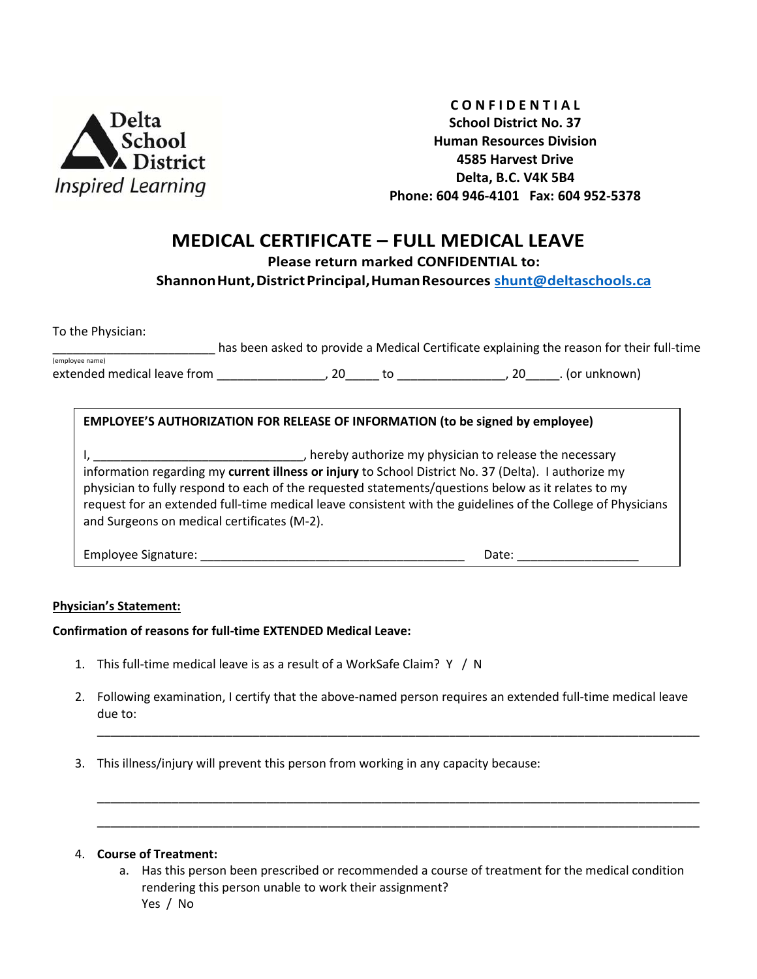

**C O N F I D E N T I A L School District No. 37 Human Resources Division 4585 Harvest Drive Delta, B.C. V4K 5B4 Phone: 604 946-4101 Fax: 604 952-5378**

## **MEDICAL CERTIFICATE – FULL MEDICAL LEAVE**

**Please return marked CONFIDENTIAL to:** 

**ShannonHunt,DistrictPrincipal,HumanResources [shunt@deltaschools.ca](mailto:shunt@deltaschools.ca)**

To the Physician:

has been asked to provide a Medical Certificate explaining the reason for their full-time (employee name)

extended medical leave from \_\_\_\_\_\_\_\_\_\_\_\_\_\_\_\_, 20\_\_\_\_\_\_ to \_\_\_\_\_\_\_\_\_\_\_\_\_\_\_\_\_, 20\_\_\_\_\_. (or unknown)

## **EMPLOYEE'S AUTHORIZATION FOR RELEASE OF INFORMATION (to be signed by employee)**

I, \_\_\_\_\_\_\_\_\_\_\_\_\_\_\_\_\_\_\_\_\_\_\_\_\_\_\_\_\_\_\_\_\_\_, hereby authorize my physician to release the necessary information regarding my **current illness or injury** to School District No. 37 (Delta). I authorize my physician to fully respond to each of the requested statements/questions below as it relates to my request for an extended full-time medical leave consistent with the guidelines of the College of Physicians and Surgeons on medical certificates (M-2).

Employee Signature: \_\_\_\_\_\_\_\_\_\_\_\_\_\_\_\_\_\_\_\_\_\_\_\_\_\_\_\_\_\_\_\_\_\_\_\_\_\_\_ Date: \_\_\_\_\_\_\_\_\_\_\_\_\_\_\_\_\_\_

## **Physician's Statement:**

**Confirmation of reasons for full-time EXTENDED Medical Leave:**

- 1. This full-time medical leave is as a result of a WorkSafe Claim? Y / N
- 2. Following examination, I certify that the above-named person requires an extended full-time medical leave due to:

\_\_\_\_\_\_\_\_\_\_\_\_\_\_\_\_\_\_\_\_\_\_\_\_\_\_\_\_\_\_\_\_\_\_\_\_\_\_\_\_\_\_\_\_\_\_\_\_\_\_\_\_\_\_\_\_\_\_\_\_\_\_\_\_\_\_\_\_\_\_\_\_\_\_\_\_\_\_\_\_\_\_\_\_\_\_\_\_\_

\_\_\_\_\_\_\_\_\_\_\_\_\_\_\_\_\_\_\_\_\_\_\_\_\_\_\_\_\_\_\_\_\_\_\_\_\_\_\_\_\_\_\_\_\_\_\_\_\_\_\_\_\_\_\_\_\_\_\_\_\_\_\_\_\_\_\_\_\_\_\_\_\_\_\_\_\_\_\_\_\_\_\_\_\_\_\_\_\_ \_\_\_\_\_\_\_\_\_\_\_\_\_\_\_\_\_\_\_\_\_\_\_\_\_\_\_\_\_\_\_\_\_\_\_\_\_\_\_\_\_\_\_\_\_\_\_\_\_\_\_\_\_\_\_\_\_\_\_\_\_\_\_\_\_\_\_\_\_\_\_\_\_\_\_\_\_\_\_\_\_\_\_\_\_\_\_\_\_

3. This illness/injury will prevent this person from working in any capacity because:

## 4. **Course of Treatment:**

a. Has this person been prescribed or recommended a course of treatment for the medical condition rendering this person unable to work their assignment? Yes / No